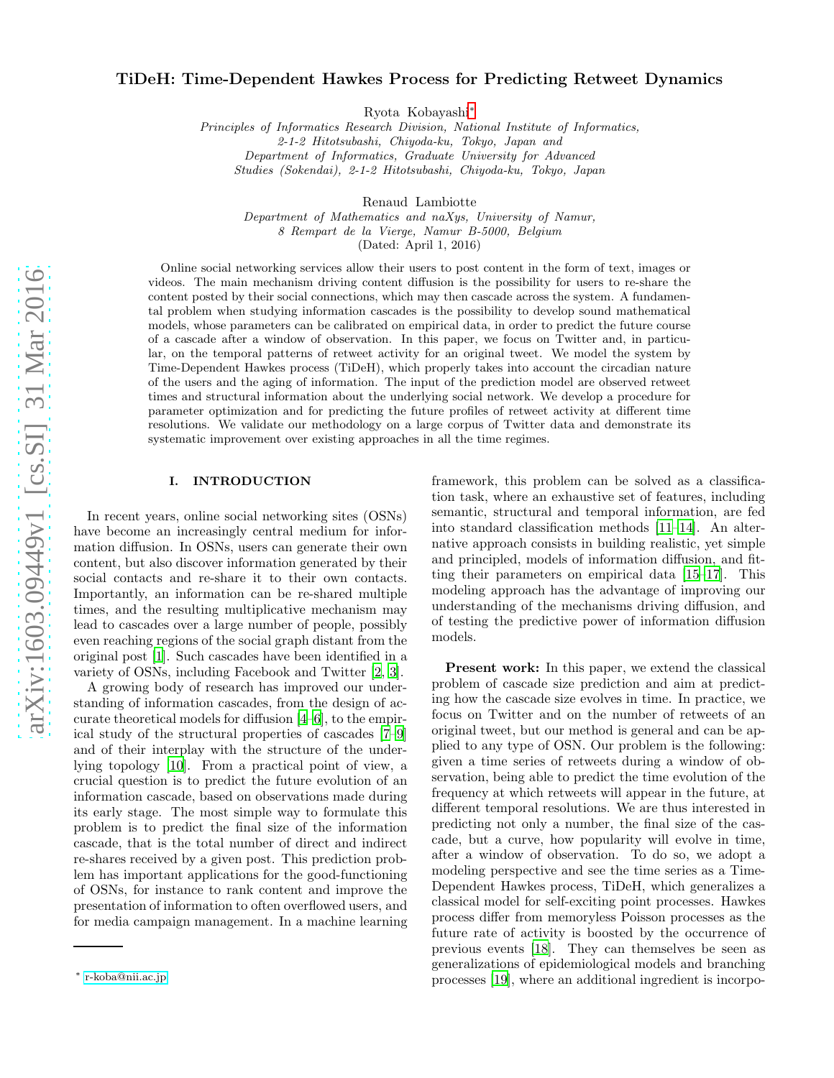# TiDeH: Time-Dependent Hawkes Process for Predicting Retweet Dynamics

Ryota Kobayashi[∗](#page-0-0)

Principles of Informatics Research Division, National Institute of Informatics, 2-1-2 Hitotsubashi, Chiyoda-ku, Tokyo, Japan and Department of Informatics, Graduate University for Advanced Studies (Sokendai), 2-1-2 Hitotsubashi, Chiyoda-ku, Tokyo, Japan

Renaud Lambiotte

Department of Mathematics and naXys, University of Namur, 8 Rempart de la Vierge, Namur B-5000, Belgium (Dated: April 1, 2016)

Online social networking services allow their users to post content in the form of text, images or videos. The main mechanism driving content diffusion is the possibility for users to re-share the content posted by their social connections, which may then cascade across the system. A fundamental problem when studying information cascades is the possibility to develop sound mathematical models, whose parameters can be calibrated on empirical data, in order to predict the future course of a cascade after a window of observation. In this paper, we focus on Twitter and, in particular, on the temporal patterns of retweet activity for an original tweet. We model the system by Time-Dependent Hawkes process (TiDeH), which properly takes into account the circadian nature of the users and the aging of information. The input of the prediction model are observed retweet times and structural information about the underlying social network. We develop a procedure for parameter optimization and for predicting the future profiles of retweet activity at different time resolutions. We validate our methodology on a large corpus of Twitter data and demonstrate its systematic improvement over existing approaches in all the time regimes.

### I. INTRODUCTION

In recent years, online social networking sites (OSNs) have become an increasingly central medium for information diffusion. In OSNs, users can generate their own content, but also discover information generated by their social contacts and re-share it to their own contacts. Importantly, an information can be re-shared multiple times, and the resulting multiplicative mechanism may lead to cascades over a large number of people, possibly even reaching regions of the social graph distant from the original post [\[1](#page-9-0)]. Such cascades have been identified in a variety of OSNs, including Facebook and Twitter [\[2](#page-9-1), [3](#page-9-2)].

A growing body of research has improved our understanding of information cascades, from the design of accurate theoretical models for diffusion [\[4](#page-9-3)[–6\]](#page-9-4), to the empirical study of the structural properties of cascades [\[7](#page-9-5)[–9](#page-9-6)] and of their interplay with the structure of the underlying topology [\[10\]](#page-9-7). From a practical point of view, a crucial question is to predict the future evolution of an information cascade, based on observations made during its early stage. The most simple way to formulate this problem is to predict the final size of the information cascade, that is the total number of direct and indirect re-shares received by a given post. This prediction problem has important applications for the good-functioning of OSNs, for instance to rank content and improve the presentation of information to often overflowed users, and for media campaign management. In a machine learning

framework, this problem can be solved as a classification task, where an exhaustive set of features, including semantic, structural and temporal information, are fed into standard classification methods [\[11](#page-9-8)[–14\]](#page-9-9). An alternative approach consists in building realistic, yet simple and principled, models of information diffusion, and fitting their parameters on empirical data [\[15](#page-9-10)[–17\]](#page-9-11). This modeling approach has the advantage of improving our understanding of the mechanisms driving diffusion, and of testing the predictive power of information diffusion models.

Present work: In this paper, we extend the classical problem of cascade size prediction and aim at predicting how the cascade size evolves in time. In practice, we focus on Twitter and on the number of retweets of an original tweet, but our method is general and can be applied to any type of OSN. Our problem is the following: given a time series of retweets during a window of observation, being able to predict the time evolution of the frequency at which retweets will appear in the future, at different temporal resolutions. We are thus interested in predicting not only a number, the final size of the cascade, but a curve, how popularity will evolve in time, after a window of observation. To do so, we adopt a modeling perspective and see the time series as a Time-Dependent Hawkes process, TiDeH, which generalizes a classical model for self-exciting point processes. Hawkes process differ from memoryless Poisson processes as the future rate of activity is boosted by the occurrence of previous events [\[18\]](#page-9-12). They can themselves be seen as generalizations of epidemiological models and branching processes [\[19\]](#page-9-13), where an additional ingredient is incorpo-

<span id="page-0-0"></span><sup>∗</sup> [r-koba@nii.ac.jp](mailto:r-koba@nii.ac.jp)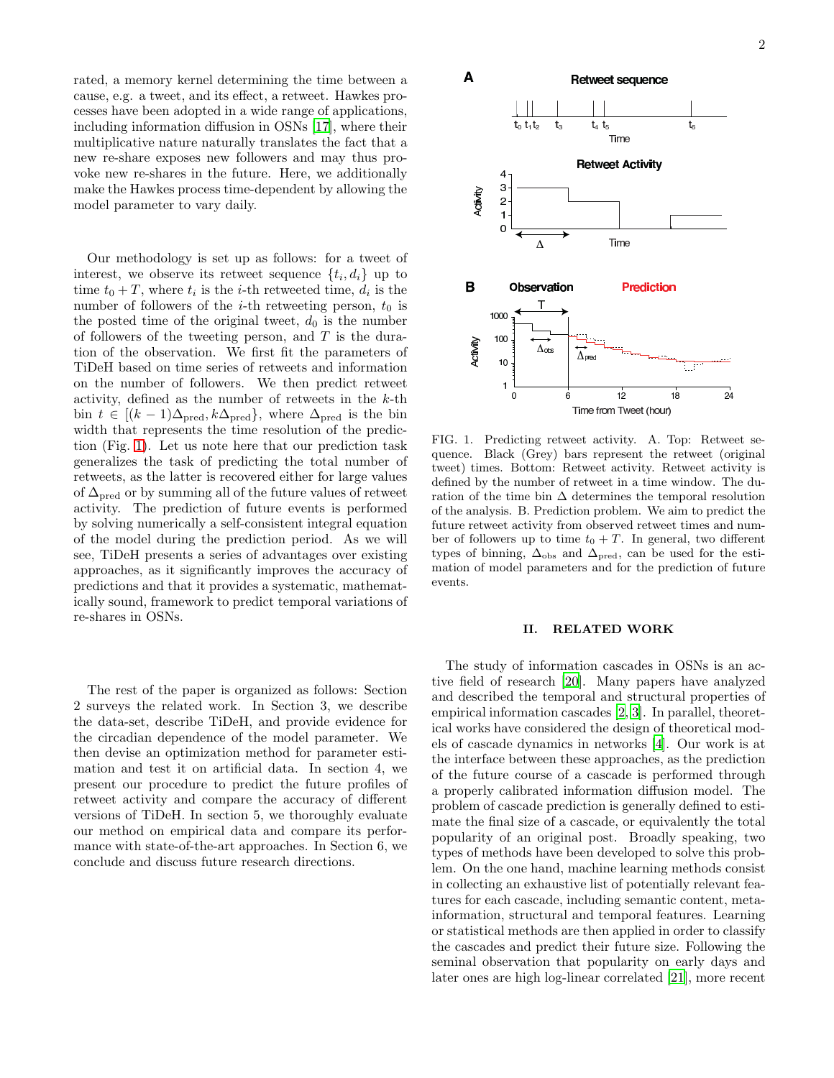rated, a memory kernel determining the time between a cause, e.g. a tweet, and its effect, a retweet. Hawkes processes have been adopted in a wide range of applications, including information diffusion in OSNs [\[17\]](#page-9-11), where their multiplicative nature naturally translates the fact that a new re-share exposes new followers and may thus provoke new re-shares in the future. Here, we additionally make the Hawkes process time-dependent by allowing the model parameter to vary daily.

Our methodology is set up as follows: for a tweet of interest, we observe its retweet sequence  $\{t_i, d_i\}$  up to time  $t_0 + T$ , where  $t_i$  is the *i*-th retweeted time,  $d_i$  is the number of followers of the *i*-th retweeting person,  $t_0$  is the posted time of the original tweet,  $d_0$  is the number of followers of the tweeting person, and  $T$  is the duration of the observation. We first fit the parameters of TiDeH based on time series of retweets and information on the number of followers. We then predict retweet activity, defined as the number of retweets in the  $k$ -th bin  $t \in [(k-1)\Delta_{\text{pred}}, k\Delta_{\text{pred}}]$ , where  $\Delta_{\text{pred}}$  is the bin width that represents the time resolution of the prediction (Fig. [1\)](#page-1-0). Let us note here that our prediction task generalizes the task of predicting the total number of retweets, as the latter is recovered either for large values of  $\Delta_{\text{pred}}$  or by summing all of the future values of retweet activity. The prediction of future events is performed by solving numerically a self-consistent integral equation of the model during the prediction period. As we will see, TiDeH presents a series of advantages over existing approaches, as it significantly improves the accuracy of predictions and that it provides a systematic, mathematically sound, framework to predict temporal variations of re-shares in OSNs.

The rest of the paper is organized as follows: Section 2 surveys the related work. In Section 3, we describe the data-set, describe TiDeH, and provide evidence for the circadian dependence of the model parameter. We then devise an optimization method for parameter estimation and test it on artificial data. In section 4, we present our procedure to predict the future profiles of retweet activity and compare the accuracy of different versions of TiDeH. In section 5, we thoroughly evaluate our method on empirical data and compare its performance with state-of-the-art approaches. In Section 6, we conclude and discuss future research directions.



<span id="page-1-0"></span>FIG. 1. Predicting retweet activity. A. Top: Retweet sequence. Black (Grey) bars represent the retweet (original tweet) times. Bottom: Retweet activity. Retweet activity is defined by the number of retweet in a time window. The duration of the time bin  $\Delta$  determines the temporal resolution of the analysis. B. Prediction problem. We aim to predict the future retweet activity from observed retweet times and number of followers up to time  $t_0 + T$ . In general, two different types of binning,  $\Delta_{obs}$  and  $\Delta_{pred}$ , can be used for the estimation of model parameters and for the prediction of future events.

# II. RELATED WORK

The study of information cascades in OSNs is an active field of research [\[20\]](#page-9-14). Many papers have analyzed and described the temporal and structural properties of empirical information cascades [\[2,](#page-9-1) [3](#page-9-2)]. In parallel, theoretical works have considered the design of theoretical models of cascade dynamics in networks [\[4](#page-9-3)]. Our work is at the interface between these approaches, as the prediction of the future course of a cascade is performed through a properly calibrated information diffusion model. The problem of cascade prediction is generally defined to estimate the final size of a cascade, or equivalently the total popularity of an original post. Broadly speaking, two types of methods have been developed to solve this problem. On the one hand, machine learning methods consist in collecting an exhaustive list of potentially relevant features for each cascade, including semantic content, metainformation, structural and temporal features. Learning or statistical methods are then applied in order to classify the cascades and predict their future size. Following the seminal observation that popularity on early days and later ones are high log-linear correlated [\[21\]](#page-10-0), more recent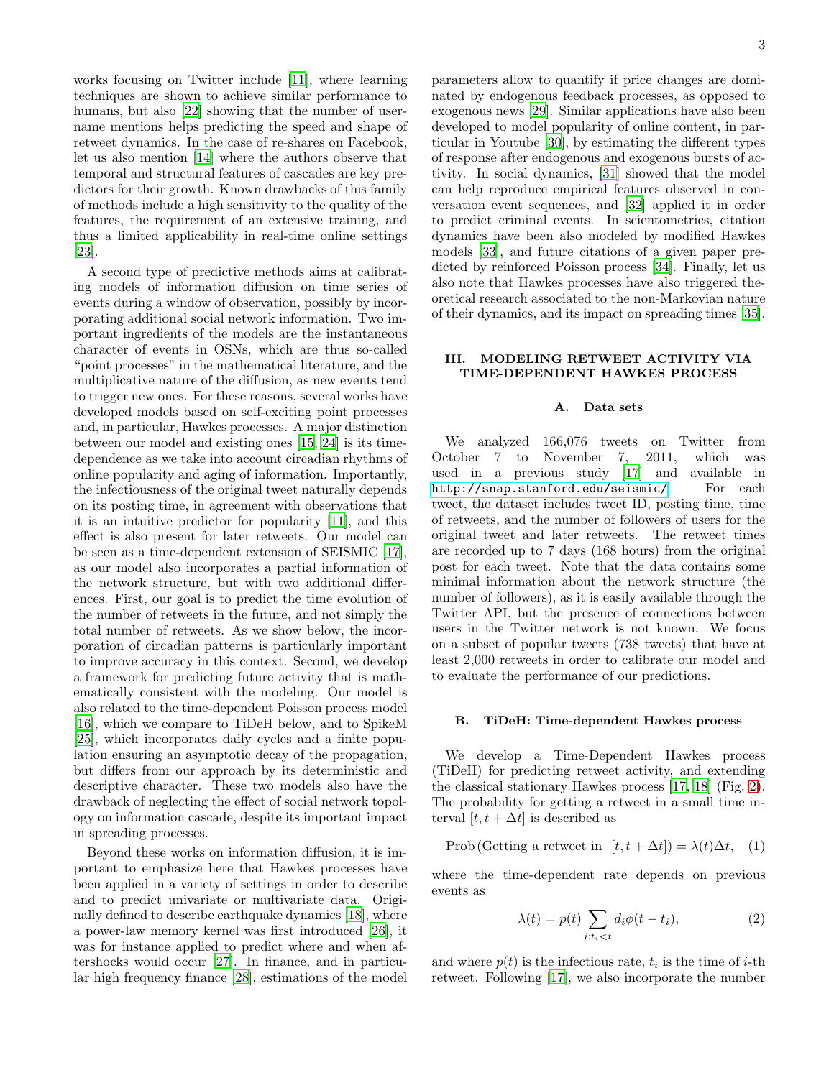works focusing on Twitter include [\[11](#page-9-8)], where learning techniques are shown to achieve similar performance to humans, but also [\[22\]](#page-10-1) showing that the number of username mentions helps predicting the speed and shape of retweet dynamics. In the case of re-shares on Facebook, let us also mention [\[14\]](#page-9-9) where the authors observe that temporal and structural features of cascades are key predictors for their growth. Known drawbacks of this family of methods include a high sensitivity to the quality of the features, the requirement of an extensive training, and thus a limited applicability in real-time online settings [\[23\]](#page-10-2).

A second type of predictive methods aims at calibrating models of information diffusion on time series of events during a window of observation, possibly by incorporating additional social network information. Two important ingredients of the models are the instantaneous character of events in OSNs, which are thus so-called "point processes" in the mathematical literature, and the multiplicative nature of the diffusion, as new events tend to trigger new ones. For these reasons, several works have developed models based on self-exciting point processes and, in particular, Hawkes processes. A major distinction between our model and existing ones [\[15,](#page-9-10) [24\]](#page-10-3) is its timedependence as we take into account circadian rhythms of online popularity and aging of information. Importantly, the infectiousness of the original tweet naturally depends on its posting time, in agreement with observations that it is an intuitive predictor for popularity [\[11\]](#page-9-8), and this effect is also present for later retweets. Our model can be seen as a time-dependent extension of SEISMIC [\[17\]](#page-9-11), as our model also incorporates a partial information of the network structure, but with two additional differences. First, our goal is to predict the time evolution of the number of retweets in the future, and not simply the total number of retweets. As we show below, the incorporation of circadian patterns is particularly important to improve accuracy in this context. Second, we develop a framework for predicting future activity that is mathematically consistent with the modeling. Our model is also related to the time-dependent Poisson process model [\[16\]](#page-9-15), which we compare to TiDeH below, and to SpikeM [\[25\]](#page-10-4), which incorporates daily cycles and a finite population ensuring an asymptotic decay of the propagation, but differs from our approach by its deterministic and descriptive character. These two models also have the drawback of neglecting the effect of social network topology on information cascade, despite its important impact in spreading processes.

Beyond these works on information diffusion, it is important to emphasize here that Hawkes processes have been applied in a variety of settings in order to describe and to predict univariate or multivariate data. Originally defined to describe earthquake dynamics [\[18\]](#page-9-12), where a power-law memory kernel was first introduced [\[26\]](#page-10-5), it was for instance applied to predict where and when aftershocks would occur [\[27\]](#page-10-6). In finance, and in particular high frequency finance [\[28\]](#page-10-7), estimations of the model parameters allow to quantify if price changes are dominated by endogenous feedback processes, as opposed to exogenous news [\[29\]](#page-10-8). Similar applications have also been developed to model popularity of online content, in particular in Youtube [\[30](#page-10-9)], by estimating the different types of response after endogenous and exogenous bursts of activity. In social dynamics, [\[31\]](#page-10-10) showed that the model can help reproduce empirical features observed in conversation event sequences, and [\[32\]](#page-10-11) applied it in order to predict criminal events. In scientometrics, citation dynamics have been also modeled by modified Hawkes models [\[33](#page-10-12)], and future citations of a given paper predicted by reinforced Poisson process [\[34\]](#page-10-13). Finally, let us also note that Hawkes processes have also triggered theoretical research associated to the non-Markovian nature of their dynamics, and its impact on spreading times [\[35\]](#page-10-14).

### III. MODELING RETWEET ACTIVITY VIA TIME-DEPENDENT HAWKES PROCESS

#### A. Data sets

We analyzed  $166,076$  tweets on Twitter from<br>tober 7 to November 7, 2011, which was October 7 to November 7, 2011, which was used in a previous study [\[17\]](#page-9-11) and available in <http://snap.stanford.edu/seismic/>. For each tweet, the dataset includes tweet ID, posting time, time of retweets, and the number of followers of users for the original tweet and later retweets. The retweet times are recorded up to 7 days (168 hours) from the original post for each tweet. Note that the data contains some minimal information about the network structure (the number of followers), as it is easily available through the Twitter API, but the presence of connections between users in the Twitter network is not known. We focus on a subset of popular tweets (738 tweets) that have at least 2,000 retweets in order to calibrate our model and to evaluate the performance of our predictions.

#### B. TiDeH: Time-dependent Hawkes process

We develop a Time-Dependent Hawkes process (TiDeH) for predicting retweet activity, and extending the classical stationary Hawkes process [\[17,](#page-9-11) [18\]](#page-9-12) (Fig. [2\)](#page-3-0). The probability for getting a retweet in a small time interval  $[t, t + \Delta t]$  is described as

<span id="page-2-1"></span>
$$
Prob(Getting a retweet in [t, t + \Delta t]) = \lambda(t)\Delta t, (1)
$$

where the time-dependent rate depends on previous events as

<span id="page-2-0"></span>
$$
\lambda(t) = p(t) \sum_{i:t_i < t} d_i \phi(t - t_i),\tag{2}
$$

and where  $p(t)$  is the infectious rate,  $t_i$  is the time of *i*-th retweet. Following [\[17](#page-9-11)], we also incorporate the number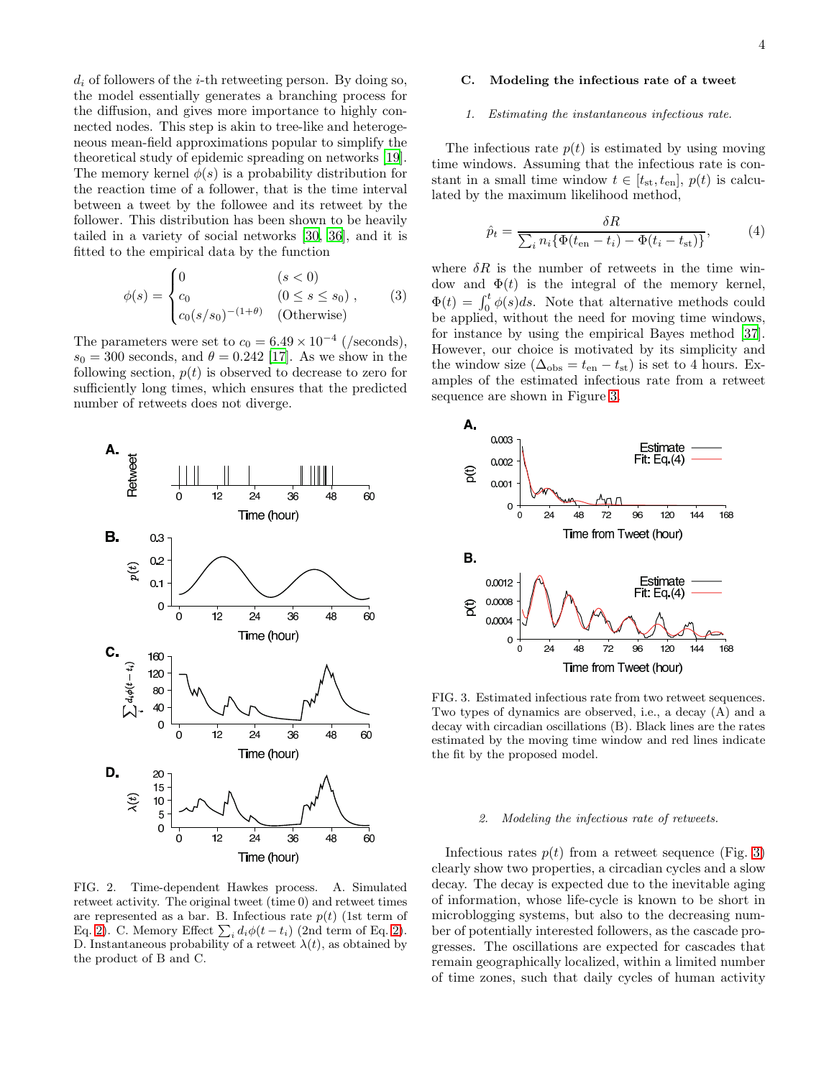$d_i$  of followers of the *i*-th retweeting person. By doing so, the model essentially generates a branching process for the diffusion, and gives more importance to highly connected nodes. This step is akin to tree-like and heterogeneous mean-field approximations popular to simplify the theoretical study of epidemic spreading on networks [\[19\]](#page-9-13). The memory kernel  $\phi(s)$  is a probability distribution for the reaction time of a follower, that is the time interval between a tweet by the followee and its retweet by the follower. This distribution has been shown to be heavily tailed in a variety of social networks [\[30](#page-10-9), [36](#page-10-15)], and it is fitted to the empirical data by the function

$$
\phi(s) = \begin{cases}\n0 & (s < 0) \\
c_0 & (0 \le s \le s_0) , \\
c_0(s/s_0)^{-(1+\theta)} & \text{(Otherwise)}\n\end{cases}
$$
\n(3)

The parameters were set to  $c_0 = 6.49 \times 10^{-4}$  (/seconds),  $s_0 = 300$  seconds, and  $\theta = 0.242$  [\[17\]](#page-9-11). As we show in the following section,  $p(t)$  is observed to decrease to zero for sufficiently long times, which ensures that the predicted number of retweets does not diverge.



<span id="page-3-0"></span>FIG. 2. Time-dependent Hawkes process. A. Simulated retweet activity. The original tweet (time 0) and retweet times are represented as a bar. B. Infectious rate  $p(t)$  (1st term of Eq. [2\)](#page-2-0). C. Memory Effect  $\sum_i d_i \phi(t - t_i)$  (2nd term of Eq. 2). D. Instantaneous probability of a retweet  $\lambda(t)$ , as obtained by the product of B and C.

### <span id="page-3-3"></span>C. Modeling the infectious rate of a tweet

#### 1. Estimating the instantaneous infectious rate.

The infectious rate  $p(t)$  is estimated by using moving time windows. Assuming that the infectious rate is constant in a small time window  $t \in [t_{st}, t_{en}], p(t)$  is calculated by the maximum likelihood method,

<span id="page-3-2"></span>
$$
\hat{p}_t = \frac{\delta R}{\sum_i n_i \{ \Phi(t_{\text{en}} - t_i) - \Phi(t_i - t_{\text{st}}) \}},\tag{4}
$$

where  $\delta R$  is the number of retweets in the time window and  $\Phi(t)$  is the integral of the memory kernel,  $\Phi(t) = \int_0^t \phi(s)ds$ . Note that alternative methods could be applied, without the need for moving time windows, for instance by using the empirical Bayes method [\[37\]](#page-10-16). However, our choice is motivated by its simplicity and the window size ( $\Delta_{obs} = t_{en} - t_{st}$ ) is set to 4 hours. Examples of the estimated infectious rate from a retweet sequence are shown in Figure [3.](#page-3-1)



<span id="page-3-1"></span>FIG. 3. Estimated infectious rate from two retweet sequences. Two types of dynamics are observed, i.e., a decay (A) and a decay with circadian oscillations (B). Black lines are the rates estimated by the moving time window and red lines indicate the fit by the proposed model.

#### 2. Modeling the infectious rate of retweets.

Infectious rates  $p(t)$  from a retweet sequence (Fig. [3\)](#page-3-1) clearly show two properties, a circadian cycles and a slow decay. The decay is expected due to the inevitable aging of information, whose life-cycle is known to be short in microblogging systems, but also to the decreasing number of potentially interested followers, as the cascade progresses. The oscillations are expected for cascades that remain geographically localized, within a limited number of time zones, such that daily cycles of human activity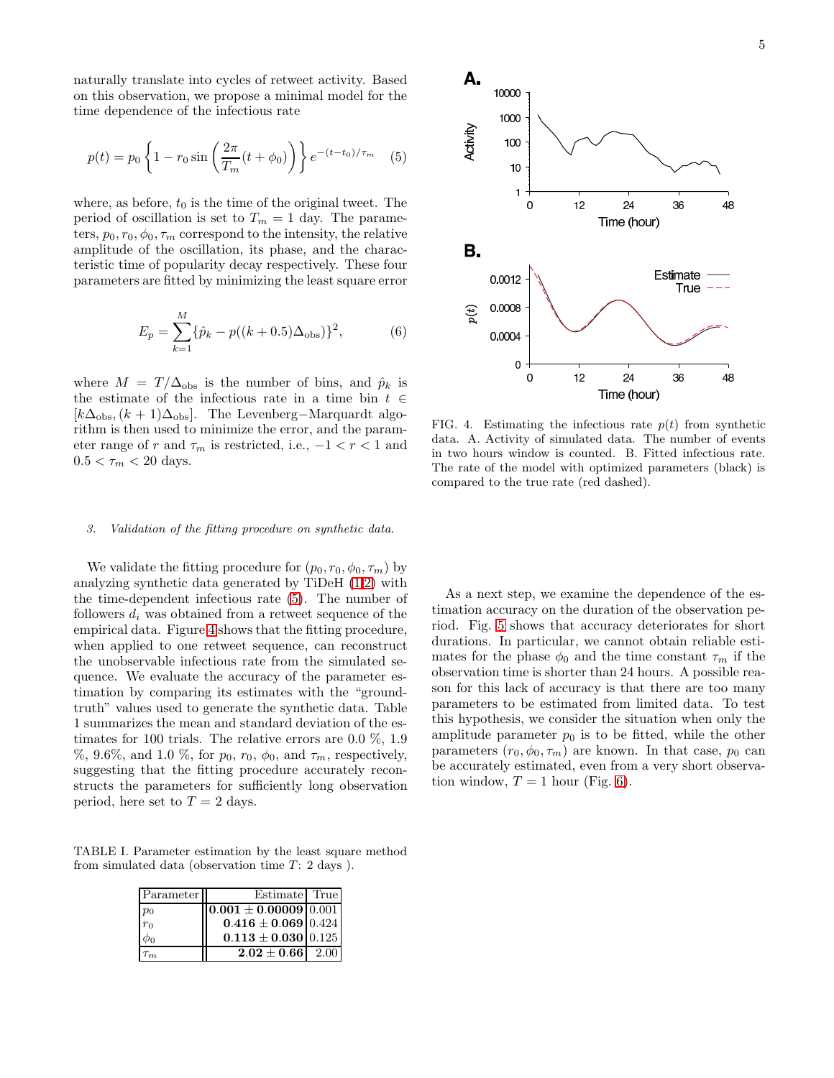naturally translate into cycles of retweet activity. Based on this observation, we propose a minimal model for the time dependence of the infectious rate

<span id="page-4-0"></span>
$$
p(t) = p_0 \left\{ 1 - r_0 \sin\left(\frac{2\pi}{T_m}(t + \phi_0)\right) \right\} e^{-(t - t_0)/\tau_m} \quad (5)
$$

where, as before,  $t_0$  is the time of the original tweet. The period of oscillation is set to  $T_m = 1$  day. The parameters,  $p_0, r_0, \phi_0, \tau_m$  correspond to the intensity, the relative amplitude of the oscillation, its phase, and the characteristic time of popularity decay respectively. These four parameters are fitted by minimizing the least square error

$$
E_p = \sum_{k=1}^{M} \{\hat{p}_k - p((k+0.5)\Delta_{\text{obs}})\}^2,
$$
 (6)

where  $M = T/\Delta_{obs}$  is the number of bins, and  $\hat{p}_k$  is the estimate of the infectious rate in a time bin  $t \in$  $[k\Delta_{\text{obs}},(k+1)\Delta_{\text{obs}}]$ . The Levenberg-Marquardt algorithm is then used to minimize the error, and the parameter range of r and  $\tau_m$  is restricted, i.e.,  $-1 < r < 1$  and  $0.5 < \tau_m < 20$  days.

#### 3. Validation of the fitting procedure on synthetic data.

We validate the fitting procedure for  $(p_0, r_0, \phi_0, \tau_m)$  by analyzing synthetic data generated by TiDeH [\(1](#page-2-1)[,2\)](#page-2-0) with the time-dependent infectious rate [\(5\)](#page-4-0). The number of followers  $d_i$  was obtained from a retweet sequence of the empirical data. Figure [4](#page-4-1) shows that the fitting procedure, when applied to one retweet sequence, can reconstruct the unobservable infectious rate from the simulated sequence. We evaluate the accuracy of the parameter estimation by comparing its estimates with the "groundtruth" values used to generate the synthetic data. Table 1 summarizes the mean and standard deviation of the estimates for 100 trials. The relative errors are 0.0 %, 1.9 %, 9.6%, and 1.0 %, for  $p_0$ ,  $r_0$ ,  $\phi_0$ , and  $\tau_m$ , respectively, suggesting that the fitting procedure accurately reconstructs the parameters for sufficiently long observation period, here set to  $T = 2$  days.

TABLE I. Parameter estimation by the least square method from simulated data (observation time  $T: 2$  days).

| Parameter | Estimate True                                                  |  |
|-----------|----------------------------------------------------------------|--|
| $p_0$     | $\overline{0.001 \pm 0.00009}$ $\overline{0.001}$              |  |
| $r_0$     | $\textbf{0.416} \pm \textbf{0.069} \, \vert \, 0.424 \, \vert$ |  |
|           | $0.113 \pm 0.030$ 0.125                                        |  |
|           | $2.02 \pm 0.66$   2.00                                         |  |



<span id="page-4-1"></span>FIG. 4. Estimating the infectious rate  $p(t)$  from synthetic data. A. Activity of simulated data. The number of events in two hours window is counted. B. Fitted infectious rate. The rate of the model with optimized parameters (black) is compared to the true rate (red dashed).

As a next step, we examine the dependence of the estimation accuracy on the duration of the observation period. Fig. [5](#page-5-0) shows that accuracy deteriorates for short durations. In particular, we cannot obtain reliable estimates for the phase  $\phi_0$  and the time constant  $\tau_m$  if the observation time is shorter than 24 hours. A possible reason for this lack of accuracy is that there are too many parameters to be estimated from limited data. To test this hypothesis, we consider the situation when only the amplitude parameter  $p_0$  is to be fitted, while the other parameters  $(r_0, \phi_0, \tau_m)$  are known. In that case,  $p_0$  can be accurately estimated, even from a very short observation window,  $T = 1$  hour (Fig. [6\)](#page-5-1).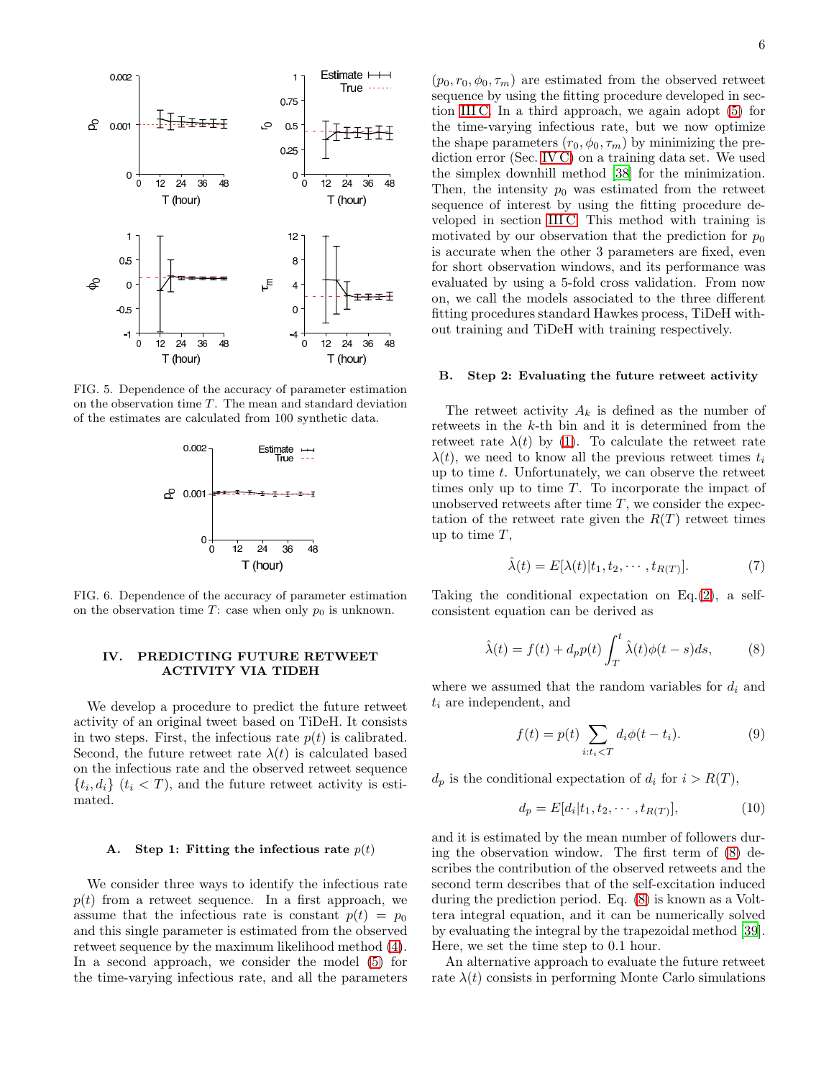

<span id="page-5-0"></span>FIG. 5. Dependence of the accuracy of parameter estimation on the observation time  $T$ . The mean and standard deviation of the estimates are calculated from 100 synthetic data.



<span id="page-5-1"></span>FIG. 6. Dependence of the accuracy of parameter estimation on the observation time T: case when only  $p_0$  is unknown.

# IV. PREDICTING FUTURE RETWEET ACTIVITY VIA TIDEH

We develop a procedure to predict the future retweet activity of an original tweet based on TiDeH. It consists in two steps. First, the infectious rate  $p(t)$  is calibrated. Second, the future retweet rate  $\lambda(t)$  is calculated based on the infectious rate and the observed retweet sequence  $\{t_i, d_i\}$   $(t_i < T)$ , and the future retweet activity is estimated.

#### <span id="page-5-3"></span>A. Step 1: Fitting the infectious rate  $p(t)$

We consider three ways to identify the infectious rate  $p(t)$  from a retweet sequence. In a first approach, we assume that the infectious rate is constant  $p(t) = p_0$ and this single parameter is estimated from the observed retweet sequence by the maximum likelihood method [\(4\)](#page-3-2). In a second approach, we consider the model [\(5\)](#page-4-0) for the time-varying infectious rate, and all the parameters

 $(p_0, r_0, \phi_0, \tau_m)$  are estimated from the observed retweet sequence by using the fitting procedure developed in section [III C.](#page-3-3) In a third approach, we again adopt [\(5\)](#page-4-0) for the time-varying infectious rate, but we now optimize the shape parameters  $(r_0, \phi_0, \tau_m)$  by minimizing the prediction error (Sec. [IV C\)](#page-6-0) on a training data set. We used the simplex downhill method [\[38\]](#page-10-17) for the minimization. Then, the intensity  $p_0$  was estimated from the retweet sequence of interest by using the fitting procedure developed in section [III C.](#page-3-3) This method with training is motivated by our observation that the prediction for  $p_0$ is accurate when the other 3 parameters are fixed, even for short observation windows, and its performance was evaluated by using a 5-fold cross validation. From now on, we call the models associated to the three different fitting procedures standard Hawkes process, TiDeH without training and TiDeH with training respectively.

#### B. Step 2: Evaluating the future retweet activity

The retweet activity  $A_k$  is defined as the number of retweets in the k-th bin and it is determined from the retweet rate  $\lambda(t)$  by [\(1\)](#page-2-1). To calculate the retweet rate  $\lambda(t)$ , we need to know all the previous retweet times  $t_i$ up to time  $t$ . Unfortunately, we can observe the retweet times only up to time  $T$ . To incorporate the impact of unobserved retweets after time  $T$ , we consider the expectation of the retweet rate given the  $R(T)$  retweet times up to time  $T$ .

$$
\hat{\lambda}(t) = E[\lambda(t)|t_1, t_2, \cdots, t_{R(T)}]. \tag{7}
$$

Taking the conditional expectation on Eq.[\(2\)](#page-2-0), a selfconsistent equation can be derived as

<span id="page-5-2"></span>
$$
\hat{\lambda}(t) = f(t) + d_p p(t) \int_T^t \hat{\lambda}(t) \phi(t - s) ds,
$$
\n(8)

where we assumed that the random variables for  $d_i$  and  $t_i$  are independent, and

$$
f(t) = p(t) \sum_{i:t_i < T} d_i \phi(t - t_i). \tag{9}
$$

 $d_p$  is the conditional expectation of  $d_i$  for  $i > R(T)$ ,

$$
d_p = E[d_i|t_1, t_2, \cdots, t_{R(T)}],
$$
\n(10)

and it is estimated by the mean number of followers during the observation window. The first term of [\(8\)](#page-5-2) describes the contribution of the observed retweets and the second term describes that of the self-excitation induced during the prediction period. Eq. [\(8\)](#page-5-2) is known as a Volttera integral equation, and it can be numerically solved by evaluating the integral by the trapezoidal method [\[39\]](#page-10-18). Here, we set the time step to 0.1 hour.

An alternative approach to evaluate the future retweet rate  $\lambda(t)$  consists in performing Monte Carlo simulations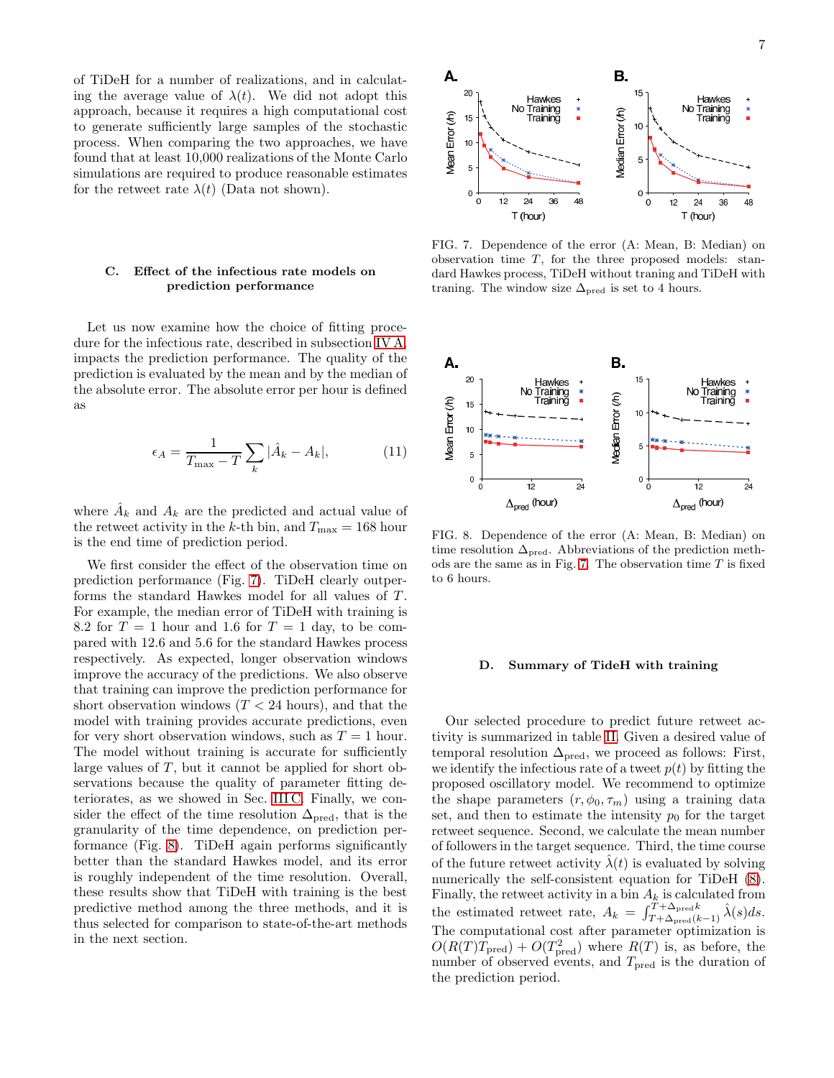of TiDeH for a number of realizations, and in calculating the average value of  $\lambda(t)$ . We did not adopt this approach, because it requires a high computational cost to generate sufficiently large samples of the stochastic process. When comparing the two approaches, we have found that at least 10,000 realizations of the Monte Carlo simulations are required to produce reasonable estimates for the retweet rate  $\lambda(t)$  (Data not shown).

### <span id="page-6-0"></span>C. Effect of the infectious rate models on prediction performance

Let us now examine how the choice of fitting procedure for the infectious rate, described in subsection [IV A,](#page-5-3) impacts the prediction performance. The quality of the prediction is evaluated by the mean and by the median of the absolute error. The absolute error per hour is defined as

$$
\epsilon_A = \frac{1}{T_{\text{max}} - T} \sum_k |\hat{A}_k - A_k|,\tag{11}
$$

where  $\hat{A}_k$  and  $A_k$  are the predicted and actual value of the retweet activity in the k-th bin, and  $T_{\text{max}} = 168$  hour is the end time of prediction period.

We first consider the effect of the observation time on prediction performance (Fig. [7\)](#page-6-1). TiDeH clearly outperforms the standard Hawkes model for all values of T. For example, the median error of TiDeH with training is 8.2 for  $T = 1$  hour and 1.6 for  $T = 1$  day, to be compared with 12.6 and 5.6 for the standard Hawkes process respectively. As expected, longer observation windows improve the accuracy of the predictions. We also observe that training can improve the prediction performance for short observation windows  $(T < 24$  hours), and that the model with training provides accurate predictions, even for very short observation windows, such as  $T = 1$  hour. The model without training is accurate for sufficiently large values of  $T$ , but it cannot be applied for short observations because the quality of parameter fitting deteriorates, as we showed in Sec. [III C.](#page-3-3) Finally, we consider the effect of the time resolution  $\Delta_{\text{pred}}$ , that is the granularity of the time dependence, on prediction performance (Fig. [8\)](#page-6-2). TiDeH again performs significantly better than the standard Hawkes model, and its error is roughly independent of the time resolution. Overall, these results show that TiDeH with training is the best predictive method among the three methods, and it is thus selected for comparison to state-of-the-art methods in the next section.



<span id="page-6-1"></span>FIG. 7. Dependence of the error (A: Mean, B: Median) on observation time  $T$ , for the three proposed models: standard Hawkes process, TiDeH without traning and TiDeH with traning. The window size  $\Delta_{\text{pred}}$  is set to 4 hours.



<span id="page-6-2"></span>FIG. 8. Dependence of the error (A: Mean, B: Median) on time resolution  $\Delta_{\text{pred}}$ . Abbreviations of the prediction meth-ods are the same as in Fig. [7.](#page-6-1) The observation time  $T$  is fixed to 6 hours.

# D. Summary of TideH with training

Our selected procedure to predict future retweet activity is summarized in table [II.](#page-7-0) Given a desired value of temporal resolution  $\Delta_{pred}$ , we proceed as follows: First, we identify the infectious rate of a tweet  $p(t)$  by fitting the proposed oscillatory model. We recommend to optimize the shape parameters  $(r, \phi_0, \tau_m)$  using a training data set, and then to estimate the intensity  $p_0$  for the target retweet sequence. Second, we calculate the mean number of followers in the target sequence. Third, the time course of the future retweet activity  $\lambda(t)$  is evaluated by solving numerically the self-consistent equation for TiDeH [\(8\)](#page-5-2). Finally, the retweet activity in a bin  $A_k$  is calculated from the estimated retweet rate,  $A_k = \int_{T+\Delta_{pred}(k-1)}^{T+\Delta_{pred}k} \hat{\lambda}(s)ds$ . The computational cost after parameter optimization is  $O(R(T)T_{\text{pred}}) + O(T_{\text{pred}}^2)$  where  $R(T)$  is, as before, the number of observed events, and  $T_{\rm pred}$  is the duration of the prediction period.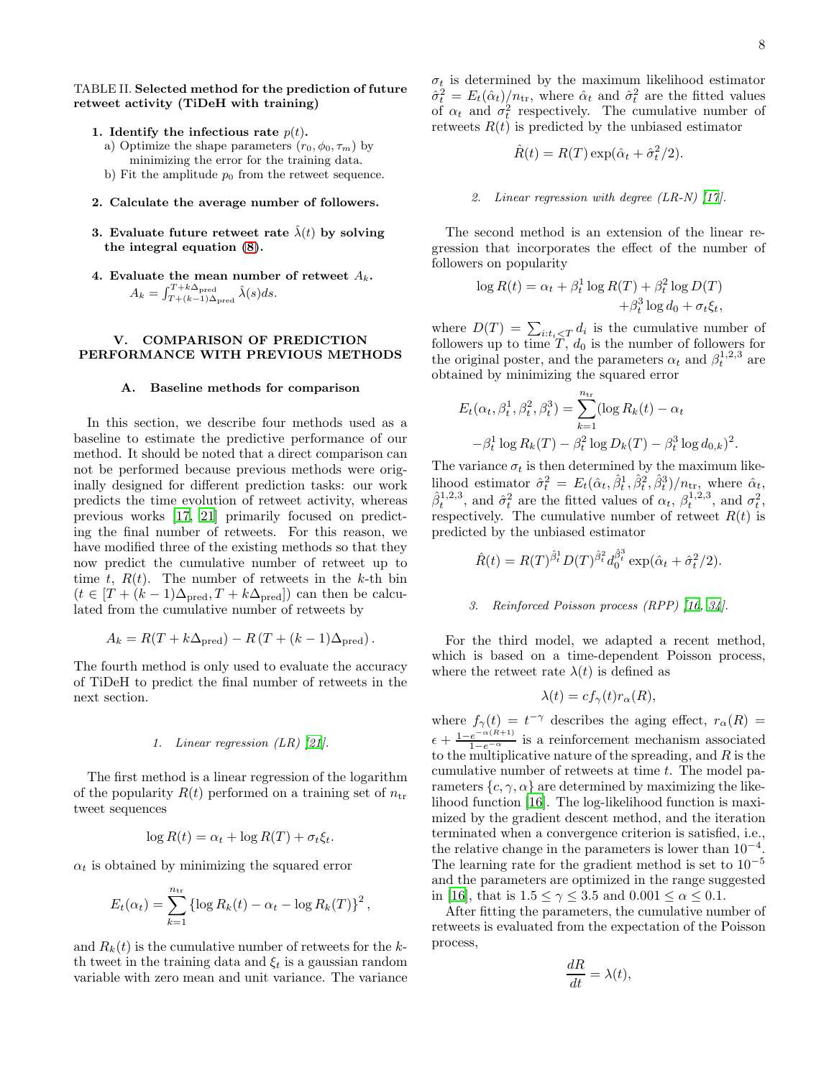### TABLE II. Selected method for the prediction of future retweet activity (TiDeH with training)

- <span id="page-7-0"></span>1. Identify the infectious rate  $p(t)$ .
	- a) Optimize the shape parameters  $(r_0, \phi_0, \tau_m)$  by minimizing the error for the training data.
	- b) Fit the amplitude  $p_0$  from the retweet sequence.
- 2. Calculate the average number of followers.
- 3. Evaluate future retweet rate  $\hat{\lambda}(t)$  by solving the integral equation [\(8\)](#page-5-2).
- 4. Evaluate the mean number of retweet  $A_k$ .  $A_k = \int_{T+(k-1)\Delta_{\text{pred}}}^{T+k\Delta_{\text{pred}}} \hat{\lambda}(s) ds.$

### V. COMPARISON OF PREDICTION PERFORMANCE WITH PREVIOUS METHODS

### A. Baseline methods for comparison

In this section, we describe four methods used as a baseline to estimate the predictive performance of our method. It should be noted that a direct comparison can not be performed because previous methods were originally designed for different prediction tasks: our work predicts the time evolution of retweet activity, whereas previous works [\[17](#page-9-11), [21\]](#page-10-0) primarily focused on predicting the final number of retweets. For this reason, we have modified three of the existing methods so that they now predict the cumulative number of retweet up to time t,  $R(t)$ . The number of retweets in the k-th bin  $(t \in [T + (k-1)\Delta_{\text{pred}}, T + k\Delta_{\text{pred}}])$  can then be calculated from the cumulative number of retweets by

$$
A_k = R(T + k\Delta_{\text{pred}}) - R(T + (k-1)\Delta_{\text{pred}}).
$$

The fourth method is only used to evaluate the accuracy of TiDeH to predict the final number of retweets in the next section.

#### 1. Linear regression (LR) [\[21\]](#page-10-0).

The first method is a linear regression of the logarithm of the popularity  $R(t)$  performed on a training set of  $n_{\text{tr}}$ tweet sequences

$$
\log R(t) = \alpha_t + \log R(T) + \sigma_t \xi_t.
$$

 $\alpha_t$  is obtained by minimizing the squared error

$$
E_t(\alpha_t) = \sum_{k=1}^{n_{\text{tr}}} \{ \log R_k(t) - \alpha_t - \log R_k(T) \}^2,
$$

and  $R_k(t)$  is the cumulative number of retweets for the kth tweet in the training data and  $\xi_t$  is a gaussian random variable with zero mean and unit variance. The variance  $\sigma_t$  is determined by the maximum likelihood estimator  $\hat{\sigma}_t^2 = E_t(\hat{\alpha}_t)/n_{\text{tr}}$ , where  $\hat{\alpha}_t$  and  $\hat{\sigma}_t^2$  are the fitted values of  $\alpha_t$  and  $\sigma_t^2$  respectively. The cumulative number of retweets  $R(t)$  is predicted by the unbiased estimator

$$
\hat{R}(t) = R(T) \exp(\hat{\alpha}_t + \hat{\sigma}_t^2/2).
$$

#### 2. Linear regression with degree (LR-N) [\[17\]](#page-9-11).

The second method is an extension of the linear regression that incorporates the effect of the number of followers on popularity

$$
\log R(t) = \alpha_t + \beta_t^1 \log R(T) + \beta_t^2 \log D(T)
$$
  
+
$$
\beta_t^3 \log d_0 + \sigma_t \xi_t,
$$

where  $D(T) = \sum_{i:t_i \leq T} d_i$  is the cumulative number of followers up to time  $T, d_0$  is the number of followers for the original poster, and the parameters  $\alpha_t$  and  $\beta_t^{1,2,3}$  are obtained by minimizing the squared error

$$
E_t(\alpha_t, \beta_t^1, \beta_t^2, \beta_t^3) = \sum_{k=1}^{n_{\text{tr}}} (\log R_k(t) - \alpha_t -\beta_t^1 \log R_k(T) - \beta_t^2 \log D_k(T) - \beta_t^3 \log d_{0,k})^2.
$$

The variance  $\sigma_t$  is then determined by the maximum likelihood estimator  $\hat{\sigma}_t^2 = E_t(\hat{\alpha}_t, \hat{\beta}_t^1, \hat{\beta}_t^2, \hat{\beta}_t^3)/n_{\text{tr}}$ , where  $\hat{\alpha}_t$ ,  $\hat{\beta}_t^{1,2,3}$ , and  $\hat{\sigma}_t^2$  are the fitted values of  $\alpha_t$ ,  $\beta_t^{1,2,3}$ , and  $\sigma_t^2$ , respectively. The cumulative number of retweet  $R(t)$  is predicted by the unbiased estimator

$$
\hat{R}(t) = R(T)^{\hat{\beta}_t} D(T)^{\hat{\beta}_t} d_0^{\hat{\beta}_t} \exp(\hat{\alpha}_t + \hat{\sigma}_t^2/2).
$$

### 3. Reinforced Poisson process (RPP) [\[16,](#page-9-15) [34](#page-10-13)].

For the third model, we adapted a recent method, which is based on a time-dependent Poisson process, where the retweet rate  $\lambda(t)$  is defined as

$$
\lambda(t) = cf_{\gamma}(t)r_{\alpha}(R),
$$

where  $f_{\gamma}(t) = t^{-\gamma}$  describes the aging effect,  $r_{\alpha}(R) =$  $\epsilon + \frac{1-e^{-\alpha(R+1)}}{1-e^{-\alpha}}$  is a reinforcement mechanism associated to the multiplicative nature of the spreading, and  $R$  is the cumulative number of retweets at time  $t$ . The model parameters  $\{c, \gamma, \alpha\}$  are determined by maximizing the likelihood function [\[16\]](#page-9-15). The log-likelihood function is maximized by the gradient descent method, and the iteration terminated when a convergence criterion is satisfied, i.e., the relative change in the parameters is lower than  $10^{-4}$ . The learning rate for the gradient method is set to  $10^{-5}$ and the parameters are optimized in the range suggested in [\[16\]](#page-9-15), that is  $1.5 \leq \gamma \leq 3.5$  and  $0.001 \leq \alpha \leq 0.1$ .

After fitting the parameters, the cumulative number of retweets is evaluated from the expectation of the Poisson process,

$$
\frac{dR}{dt} = \lambda(t),
$$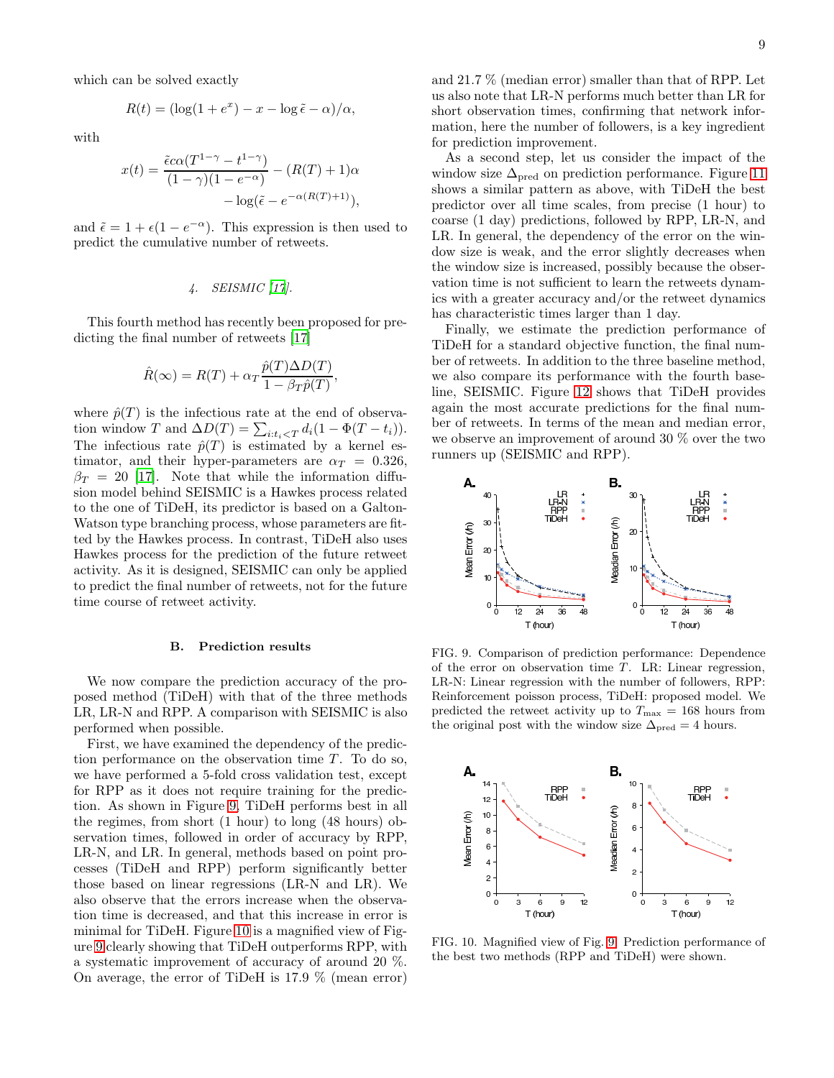which can be solved exactly

$$
R(t) = (\log(1 + e^x) - x - \log \tilde{\epsilon} - \alpha)/\alpha,
$$

with

$$
x(t) = \frac{\tilde{\epsilon}c\alpha(T^{1-\gamma} - t^{1-\gamma})}{(1-\gamma)(1-e^{-\alpha})} - (R(T) + 1)\alpha
$$

$$
- \log(\tilde{\epsilon} - e^{-\alpha(R(T) + 1)}),
$$

and  $\tilde{\epsilon} = 1 + \epsilon(1 - e^{-\alpha})$ . This expression is then used to predict the cumulative number of retweets.

## 4. SEISMIC [\[17](#page-9-11)].

This fourth method has recently been proposed for predicting the final number of retweets [\[17\]](#page-9-11)

$$
\hat{R}(\infty) = R(T) + \alpha_T \frac{\hat{p}(T)\Delta D(T)}{1 - \beta_T \hat{p}(T)},
$$

where  $\hat{p}(T)$  is the infectious rate at the end of observation window T and  $\Delta D(T) = \sum_{i:t_i \lt T} d_i (1 - \Phi(T - t_i)).$ The infectious rate  $\hat{p}(T)$  is estimated by a kernel estimator, and their hyper-parameters are  $\alpha_T = 0.326$ ,  $\beta_T = 20$  [\[17\]](#page-9-11). Note that while the information diffusion model behind SEISMIC is a Hawkes process related to the one of TiDeH, its predictor is based on a Galton-Watson type branching process, whose parameters are fitted by the Hawkes process. In contrast, TiDeH also uses Hawkes process for the prediction of the future retweet activity. As it is designed, SEISMIC can only be applied to predict the final number of retweets, not for the future time course of retweet activity.

#### B. Prediction results

We now compare the prediction accuracy of the proposed method (TiDeH) with that of the three methods LR, LR-N and RPP. A comparison with SEISMIC is also performed when possible.

First, we have examined the dependency of the prediction performance on the observation time  $T$ . To do so, we have performed a 5-fold cross validation test, except for RPP as it does not require training for the prediction. As shown in Figure [9,](#page-8-0) TiDeH performs best in all the regimes, from short (1 hour) to long (48 hours) observation times, followed in order of accuracy by RPP, LR-N, and LR. In general, methods based on point processes (TiDeH and RPP) perform significantly better those based on linear regressions (LR-N and LR). We also observe that the errors increase when the observation time is decreased, and that this increase in error is minimal for TiDeH. Figure [10](#page-8-1) is a magnified view of Figure [9](#page-8-0) clearly showing that TiDeH outperforms RPP, with a systematic improvement of accuracy of around 20 %. On average, the error of TiDeH is 17.9 % (mean error)

and 21.7 % (median error) smaller than that of RPP. Let us also note that LR-N performs much better than LR for short observation times, confirming that network information, here the number of followers, is a key ingredient for prediction improvement.

As a second step, let us consider the impact of the window size  $\Delta_{\text{pred}}$  on prediction performance. Figure [11](#page-9-16) shows a similar pattern as above, with TiDeH the best predictor over all time scales, from precise (1 hour) to coarse (1 day) predictions, followed by RPP, LR-N, and LR. In general, the dependency of the error on the window size is weak, and the error slightly decreases when the window size is increased, possibly because the observation time is not sufficient to learn the retweets dynamics with a greater accuracy and/or the retweet dynamics has characteristic times larger than 1 day.

Finally, we estimate the prediction performance of TiDeH for a standard objective function, the final number of retweets. In addition to the three baseline method, we also compare its performance with the fourth baseline, SEISMIC. Figure [12](#page-9-17) shows that TiDeH provides again the most accurate predictions for the final number of retweets. In terms of the mean and median error, we observe an improvement of around 30 % over the two runners up (SEISMIC and RPP).



<span id="page-8-0"></span>FIG. 9. Comparison of prediction performance: Dependence of the error on observation time  $T$ . LR: Linear regression, LR-N: Linear regression with the number of followers, RPP: Reinforcement poisson process, TiDeH: proposed model. We predicted the retweet activity up to  $T_{\text{max}} = 168$  hours from the original post with the window size  $\Delta_{pred} = 4$  hours.



<span id="page-8-1"></span>FIG. 10. Magnified view of Fig. [9.](#page-8-0) Prediction performance of the best two methods (RPP and TiDeH) were shown.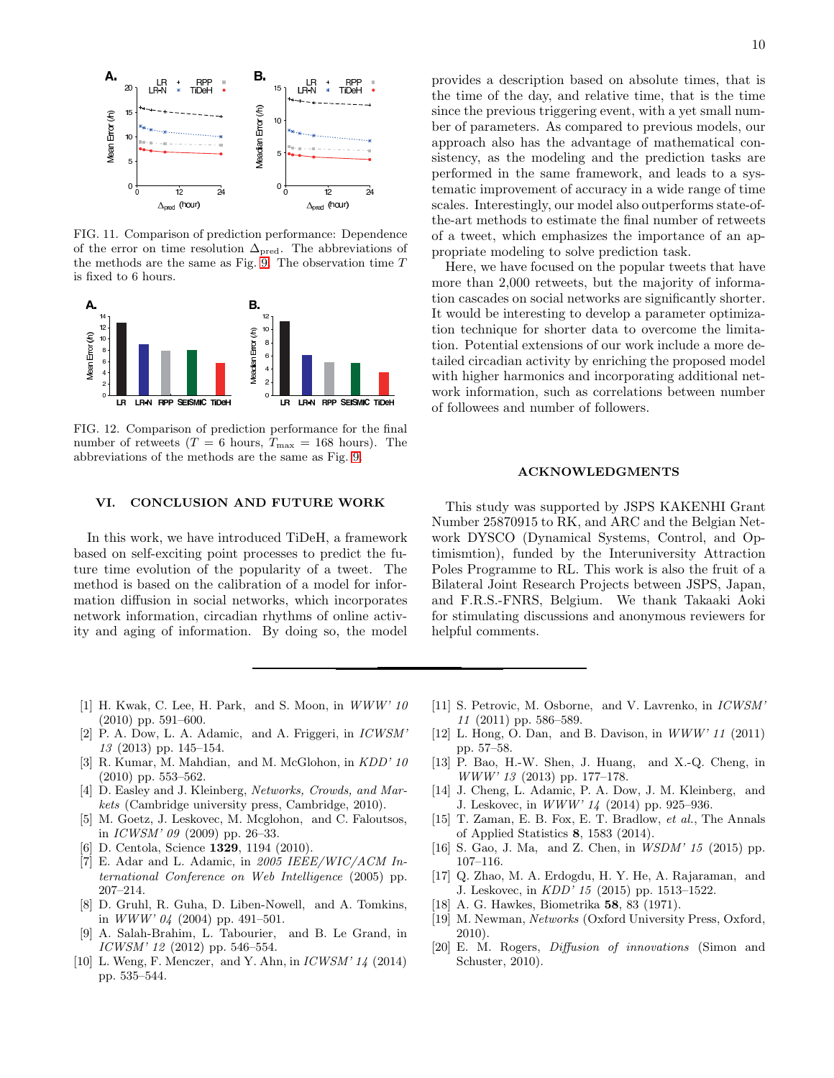

<span id="page-9-16"></span>FIG. 11. Comparison of prediction performance: Dependence of the error on time resolution  $\Delta_{\text{pred}}$ . The abbreviations of the methods are the same as Fig. [9.](#page-8-0) The observation time  ${\cal T}$ is fixed to 6 hours.



<span id="page-9-17"></span>FIG. 12. Comparison of prediction performance for the final number of retweets ( $T = 6$  hours,  $T_{\text{max}} = 168$  hours). The abbreviations of the methods are the same as Fig. [9.](#page-8-0)

# VI. CONCLUSION AND FUTURE WORK

In this work, we have introduced TiDeH, a framework based on self-exciting point processes to predict the future time evolution of the popularity of a tweet. The method is based on the calibration of a model for information diffusion in social networks, which incorporates network information, circadian rhythms of online activity and aging of information. By doing so, the model

provides a description based on absolute times, that is the time of the day, and relative time, that is the time since the previous triggering event, with a yet small number of parameters. As compared to previous models, our approach also has the advantage of mathematical consistency, as the modeling and the prediction tasks are performed in the same framework, and leads to a systematic improvement of accuracy in a wide range of time scales. Interestingly, our model also outperforms state-ofthe-art methods to estimate the final number of retweets of a tweet, which emphasizes the importance of an appropriate modeling to solve prediction task.

Here, we have focused on the popular tweets that have more than 2,000 retweets, but the majority of information cascades on social networks are significantly shorter. It would be interesting to develop a parameter optimization technique for shorter data to overcome the limitation. Potential extensions of our work include a more detailed circadian activity by enriching the proposed model with higher harmonics and incorporating additional network information, such as correlations between number of followees and number of followers.

#### ACKNOWLEDGMENTS

This study was supported by JSPS KAKENHI Grant Number 25870915 to RK, and ARC and the Belgian Network DYSCO (Dynamical Systems, Control, and Optimismtion), funded by the Interuniversity Attraction Poles Programme to RL. This work is also the fruit of a Bilateral Joint Research Projects between JSPS, Japan, and F.R.S.-FNRS, Belgium. We thank Takaaki Aoki for stimulating discussions and anonymous reviewers for helpful comments.

- <span id="page-9-0"></span>[1] H. Kwak, C. Lee, H. Park, and S. Moon, in WWW' 10 (2010) pp. 591–600.
- <span id="page-9-1"></span>[2] P. A. Dow, L. A. Adamic, and A. Friggeri, in ICWSM' 13 (2013) pp. 145–154.
- <span id="page-9-2"></span>[3] R. Kumar, M. Mahdian, and M. McGlohon, in KDD' 10 (2010) pp. 553–562.
- <span id="page-9-3"></span>[4] D. Easley and J. Kleinberg, Networks, Crowds, and Markets (Cambridge university press, Cambridge, 2010).
- [5] M. Goetz, J. Leskovec, M. Mcglohon, and C. Faloutsos, in ICWSM' 09 (2009) pp. 26–33.
- <span id="page-9-4"></span>[6] D. Centola, Science 1329, 1194 (2010).
- <span id="page-9-5"></span>[7] E. Adar and L. Adamic, in  $2005$  IEEE/WIC/ACM International Conference on Web Intelligence (2005) pp. 207–214.
- [8] D. Gruhl, R. Guha, D. Liben-Nowell, and A. Tomkins, in  $WWW' 04$  (2004) pp. 491-501.
- <span id="page-9-6"></span>[9] A. Salah-Brahim, L. Tabourier, and B. Le Grand, in ICWSM' 12 (2012) pp. 546–554.
- <span id="page-9-7"></span>[10] L. Weng, F. Menczer, and Y. Ahn, in  $ICWSM' 14$  (2014) pp. 535–544.
- <span id="page-9-8"></span>[11] S. Petrovic, M. Osborne, and V. Lavrenko, in ICWSM' 11 (2011) pp. 586–589.
- [12] L. Hong, O. Dan, and B. Davison, in  $WWW'$  11 (2011) pp. 57–58.
- [13] P. Bao, H.-W. Shen, J. Huang, and X.-Q. Cheng, in WWW' 13 (2013) pp. 177–178.
- <span id="page-9-9"></span>[14] J. Cheng, L. Adamic, P. A. Dow, J. M. Kleinberg, and J. Leskovec, in WWW' 14 (2014) pp. 925–936.
- <span id="page-9-10"></span>[15] T. Zaman, E. B. Fox, E. T. Bradlow, et al., The Annals of Applied Statistics 8, 1583 (2014).
- <span id="page-9-15"></span>[16] S. Gao, J. Ma, and Z. Chen, in *WSDM*' 15 (2015) pp. 107–116.
- <span id="page-9-11"></span>[17] Q. Zhao, M. A. Erdogdu, H. Y. He, A. Rajaraman, and J. Leskovec, in KDD' 15 (2015) pp. 1513–1522.
- <span id="page-9-12"></span>[18] A. G. Hawkes, Biometrika 58, 83 (1971).
- <span id="page-9-13"></span>[19] M. Newman, Networks (Oxford University Press, Oxford, 2010).
- <span id="page-9-14"></span>[20] E. M. Rogers, Diffusion of innovations (Simon and Schuster, 2010).